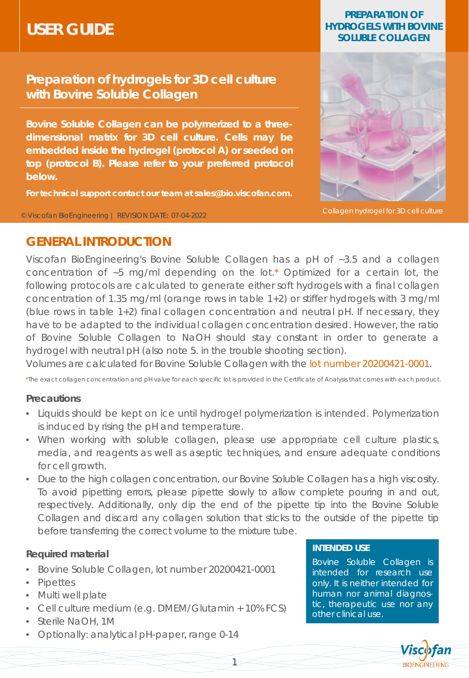# **USER GUIDE**

### **Preparation of hydrogels for 3D cell culture with Bovine Soluble Collagen**

**Bovine Soluble Collagen can be polymerized to a threedimensional matrix for 3D cell culture. Cells may be embedded inside the hydrogel (protocol A) or seeded on top (protocol B). Please refer to your preferred protocol below.**

**For technical support contact our team at sales@bio.viscofan.com.**

© Viscofan BioEngineering | REVISION DATE: 07-04-2022

#### **PREPARATION OF HYDROGELS WITH BOVINE SOLUBLE COLLAGEN**



**Collagen hydrogel for 3D cell culture** 

### **GENERAL INTRODUCTION**

Viscofan BioEngineering's Bovine Soluble Collagen has a pH of ~3.5 and a collagen concentration of ~5 mg/ml depending on the lot.\* Optimized for a certain lot, the following protocols are calculated to generate either soft hydrogels with a final collagen concentration of 1.35 mg/ml (orange rows in table 1+2) or stiffer hydrogels with 3 mg/ml (blue rows in table 1+2) final collagen concentration and neutral pH. If necessary, they have to be adapted to the individual collagen concentration desired. However, the ratio of Bovine Soluble Collagen to NaOH should stay constant in order to generate a hydrogel with neutral pH (also note 5. in the trouble shooting section).

Volumes are calculated for Bovine Soluble Collagen with the lot number 20200421-0001.

*\*The exact collagen concentration and pH value for each specific lot is provided in the Certificate of Analysis that comes with each product.*

#### **Precautions**

- Liquids should be kept on ice until hydrogel polymerization is intended. Polymerization is induced by rising the pH and temperature.
- When working with soluble collagen, please use appropriate cell culture plastics, media, and reagents as well as aseptic techniques, and ensure adequate conditions for cell growth.
- Due to the high collagen concentration, our Bovine Soluble Collagen has a high viscosity. To avoid pipetting errors, please pipette slowly to allow complete pouring in and out, respectively. Additionally, only dip the end of the pipette tip into the Bovine Soluble Collagen and discard any collagen solution that sticks to the outside of the pipette tip before transferring the correct volume to the mixture tube.

#### **Required material**

- Bovine Soluble Collagen, lot number 20200421-0001
- Pipettes
- Multi well plate
- Cell culture medium (e.g. DMEM/Glutamin + 10% FCS)
- Sterile NaOH, 1M
- Optionally: analytical pH-paper, range 0-14

#### **INTENDED USE**

Bovine Soluble Collagen is intended for research use only. It is neither intended for human nor animal diagnostic, therapeutic use nor any other clinical use.

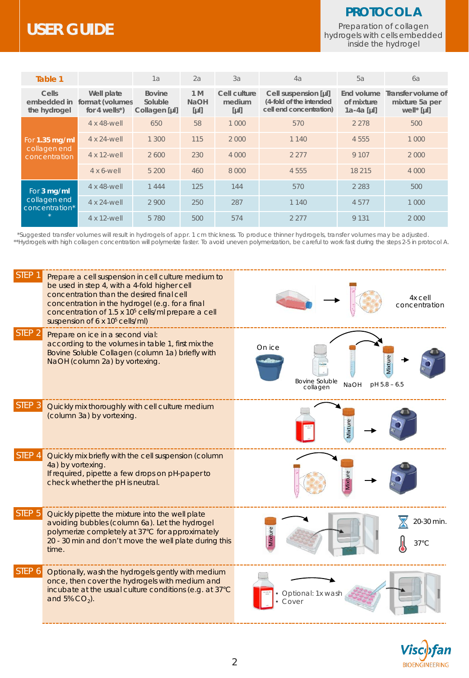# **USER GUIDE**

### **PROTOCOL A**

Preparation of collagen hydrogels with cells embedded inside the hydrogel

| Table 1                                         |                                                     | 1a                                        | 2a                           | 3a                               | 4a                                                                         | 5a                                       | 6a                                                             |
|-------------------------------------------------|-----------------------------------------------------|-------------------------------------------|------------------------------|----------------------------------|----------------------------------------------------------------------------|------------------------------------------|----------------------------------------------------------------|
| Cells<br>embedded in<br>the hydrogel            | Well plate<br>format (volumes<br>for 4 wells $^*$ ) | <b>Bovine</b><br>Soluble<br>Collagen [µl] | 1 M<br><b>NaOH</b><br>$[\mu$ | Cell culture<br>medium<br>$[\mu$ | Cell suspension [µl]<br>(4-fold of the intended<br>cell end concentration) | End volume<br>of mixture<br>$1a-4a$ [µl] | Transfer volume of<br>mixture 5a per<br>well <sup>*</sup> [µl] |
| For 1.35 mg/ml<br>collagen end<br>concentration | 4 x 48-well                                         | 650                                       | 58                           | 1 0 0 0                          | 570                                                                        | 2 2 7 8                                  | 500                                                            |
|                                                 | 4 x 24-well                                         | 1 300                                     | 115                          | 2 0 0 0                          | 1 1 4 0                                                                    | 4 5 5 5                                  | 1 0 0 0                                                        |
|                                                 | 4 x 12-well                                         | 2600                                      | 230                          | 4 000                            | 2 2 7 7                                                                    | 9 1 0 7                                  | 2000                                                           |
|                                                 | $4 \times 6$ -well                                  | 5 200                                     | 460                          | 8 0 0 0                          | 4 5 5 5                                                                    | 18 215                                   | 4 0 0 0                                                        |
| For 3 mg/ml<br>collagen end<br>concentration*   | 4 x 48-well                                         | 1444                                      | 125                          | 144                              | 570                                                                        | 2 2 8 3                                  | 500                                                            |
|                                                 | 4 x 24-well                                         | 2 9 0 0                                   | 250                          | 287                              | 1 140                                                                      | 4577                                     | 1 0 0 0                                                        |
|                                                 | 4 x 12-well                                         | 5 7 8 0                                   | 500                          | 574                              | 2 2 7 7                                                                    | 9 1 3 1                                  | 2000                                                           |

\*Suggested transfer volumes will result in hydrogels of appr. 1 cm thickness. To produce thinner hydrogels, transfer volumes may be adjusted. \*\*Hydrogels with high collagen concentration will polymerize faster. To avoid uneven polymerization, be careful to work fast during the steps 2-5 in protocol A.



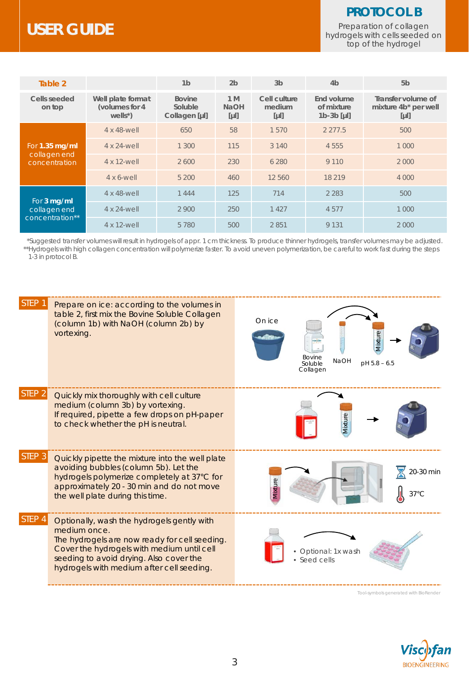### **PROTOCOL B**

Preparation of collagen hydrogels with cells seeded on top of the hydrogel

# **USER GUIDE**

| Table 2                                         |                                                    | 1 <sub>b</sub>                            | 2 <sub>b</sub>               | 3 <sub>b</sub>                   | 4 <sub>b</sub>                           | 5 <sub>b</sub>                                       |
|-------------------------------------------------|----------------------------------------------------|-------------------------------------------|------------------------------|----------------------------------|------------------------------------------|------------------------------------------------------|
| Cells seeded<br>on top                          | Well plate format<br>(volumes for 4<br>$wells^*$ ) | <b>Bovine</b><br>Soluble<br>Collagen [µl] | 1 M<br><b>NaOH</b><br>$[\mu$ | Cell culture<br>medium<br>$[\mu$ | End volume<br>of mixture<br>$1b-3b$ [µl] | Transfer volume of<br>mixture 4b* per well<br>$[\mu$ |
| For 1.35 mg/ml<br>collagen end<br>concentration | 4 x 48-well                                        | 650                                       | 58                           | 1570                             | 2 2 7 7 .5                               | 500                                                  |
|                                                 | 4 x 24-well                                        | 1 3 0 0                                   | 115                          | 3 1 4 0                          | 4 5 5 5                                  | 1 000                                                |
|                                                 | 4 x 12-well                                        | 2600                                      | 230                          | 6 2 8 0                          | 9 1 1 0                                  | 2000                                                 |
|                                                 | $4 \times 6$ -well                                 | 5 200                                     | 460                          | 12 560                           | 18 219                                   | 4 000                                                |
| For 3 mg/ml<br>collagen end<br>concentration**  | 4 x 48-well                                        | 1444                                      | 125                          | 714                              | 2 2 8 3                                  | 500                                                  |
|                                                 | 4 x 24-well                                        | 2 9 0 0                                   | 250                          | 1 4 2 7                          | 4577                                     | 1 000                                                |
|                                                 | 4 x 12-well                                        | 5780                                      | 500                          | 2851                             | 9 1 3 1                                  | 2000                                                 |

\*Suggested transfer volumes will result in hydrogels of appr. 1 cm thickness. To produce thinner hydrogels, transfer volumes may be adjusted. \*\*Hydrogels with high collagen concentration will polymerize faster. To avoid uneven polymerization, be careful to work fast during the steps 1-3 in protocol B.



**BIOENGINEERING**